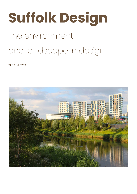# The environment and landscape in design **Suffolk Design**

29th April 2019

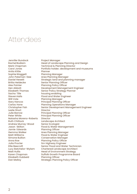#### Attendees

Jennifer Bundock Rachel Bodiam Mark Chapman Carol Jones Anita Kittle SophieWaggett John Pateman-Gee Daniel Hewett Britta Heidecke Alex Pointer Hen Abbott Elizabeth Thomas Sacha Tille Steven Halls Will Vote Gary Hancox Carlos Hone Christopher Fish Leslie Short Julie Barrow Peter White Natasha Moreno-Roberts Ruth Chittock Andrew Murray-Wood Jason Skilton Jamie Edwards Gemma Walker Matt Williams Simone Bullion Anna Roe Julia Procter Ellie Beecroft Lucy Batchelor-Wylam Matt Hullis Karen Chapman Elizabeth Dubbeld Dan Malloy

Project Manager Head of Landscape Planning and Design Technical & Planning Director Portfolio holder; development and museums Planner Planning Manager Area Planning Manager Strategic land and planning manager Senior Planning Officer Planning Policy Officer Development Management Engineer Senior Policy Strategy Planner housing enabling Flood and Water Engineer Planning Manager Principal Planning Officer Planning Operations Manager Senior Development Management Engineer Director Principal Planning Officer Principal Planning Officer **Director** Landscape Architect Senior Ecologist Flood & Water Management Planning Officer Area Planning Manager Flood & Water Engineer Conservation Manager Planning Policy Officer Snr Highway Engineer Senior Flood and Water Technician Chartered Landscape Architect Head of Environment Strategy Suffolk Growth Programme Board Planning Officer Strategic Planning Policy Officer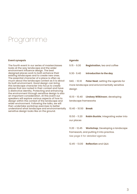#### Programme

#### **Event synopsis**

The fourth event in our series of masterclasses looks at the way landscape and the wider environment influence design. The best designed places work to both enhance their existing landscapes and to create new ones. The essential character of a place is often as much about the landscape context as it is about its built environment. Good design can bring this landscape character into focus to create places that are rooted in their context and have a distinctive identity. Protecting and enhancing the environment through sensitive design is also an important consideration. At this event our speakers will explore various aspects of how to design within the context of the landscape and wider environment. Following the talks, we will then undertake workshop exercises to better understand what landscape and environmentally sensitive design looks like on the ground.

#### **Agenda**

| $9.15 - 9.30$ | <b>Registration, tea and coffee</b> |  |  |
|---------------|-------------------------------------|--|--|
|               |                                     |  |  |

9.30- 9.40 **Introduction to the day**

940. - 10.10 **Peter Neal**; setting the agenda for more landscape and enivronmentally sensitive design

10.10 - 10.40 **Lindsey Wilkinson**; developing landscape frameworks

10.40 - 10.50 **Break**

10.50 - 11.20 **Robin Buckle**; integrating water into our places

11.20 - 12.45 **Workshop**; Developing a landscape framework, and putting it into practice. *See page 6 for detailed agenda.*

12.45 - 13.00 **Reflection** and Q&A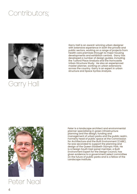### Contributors;



### Garry Hall

Garry Hall is an award-winning urban designer with extensive experience in both the private and public sectors, working on a range of projects from health care premises through to major housing developments and exhibition centres. Garry has developed a number of design guides, including the Tuxford Place Analysis and the Horncastle Urban Structure Study. He also an experienced master planner, working on urban extensions across the country. Garry is an expert in urban structure and Space Syntax Analysis.



Peter Neal

Peter is a landscape architect and environmental planner specialising in green infrastructure planning and the design, funding and management of urban parks and the public realm. Formerly head of public space at the Commission for Architecture and the Built Environment (CABE), he was seconded to support the planning and design of the Queen Elizabeth Olympic Park. He is a Design South East panel member, a Built Environment Expert for the Design Council, has given evidence to a government select committee on the future of public parks and is a fellow of the Landscape Institute.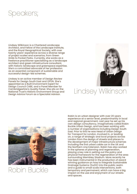### Speakers;

Lindsey Wilkinson is a Chartered Landscape Architect, and Fellow of the Landscape Institute, and the Royal Geographical Society, with over twenty years' experience across a diverse range of project scales and scenarios, from Green Grids to Pocket Parks. Currently, she works as a freelance practitioner specialising as a landscape architect and green infrastructure consultant, with historic landscape and greenspace expertise. She's a committed advocate of her profession as an essential component of sustainable and successful design-led schemes.

Lindsey is an active member of Design Review Panels for Design South East and OPUN. She's appointed as a Built Environment Expert for Design Council CABE, and a Panel Member for Cambridgeshire's Quality Panel. She sits on the National Trust's Historic Environment Group and<br>Design Advice Forum as a Specialist Advisor.



### Lindsey Wilkinson



Robin Buckle

Robin is an urban designer with over 20 years experience at a senior level, predominantly in local and regional government. Last year he set up his own design consultancy, imaginatively called Robin Buckle Urban Design, and has been working with a number of organisations including Design South East. Prior to this he was Head of Urban Design for Transport for London, involved in, or leading on, a range of strategic and local projects across London from the design of streets and places to the development of major infrastructure schemes including the first urban cable car in the UK and the Northern Line Extension. Robin has also worked in the spheres of planning and regeneration, playing a key role in setting out the policy and physical framework for the regeneration of the area surrounding Wembley Stadium. More recently he has been instrumental in the production of award winning guidance on how to integrate Sustainable Drainage Systems (SuDS) into the public realm and a guide to small scale interventions, both temporary and permanent, which can have a big impact on the use and enjoyment of our streets and spaces.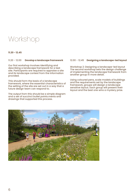#### Workshop

#### **11.20 - 12.45**

#### 11.20 - 12.00 **Develop a landscape framework**

Our first workshop involves identifying and describing a landscape framework for a test site. Participants are required to appraise a site and its landscape context from the information provided.

This should form the basis of a landscape framework, where the essential characteristics of the setting of the site are set out in a way that a future design team can respond to.

The output from this should be a simple diagram and a set of succinct bullet points.ments and drawings that supported this process.

#### 12.00 - 12.45 **Designing a landscape-led layout**

Workshop 2: Designing a landscape-led layout The second workshop sets the design challenge of implementing the landscape framework from another group in more detail.

Using coloured pens, scale models of buildings and the requirements set by the landscape framework, groups will design a landscape sensitive layout. Each group will present their layout and the best one wins a mystery prize.

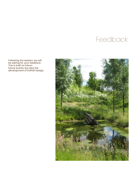### Feedback

Following the session, we will be asking for your feedback. This is both to inform future events, but also the development of Suffolk Design.